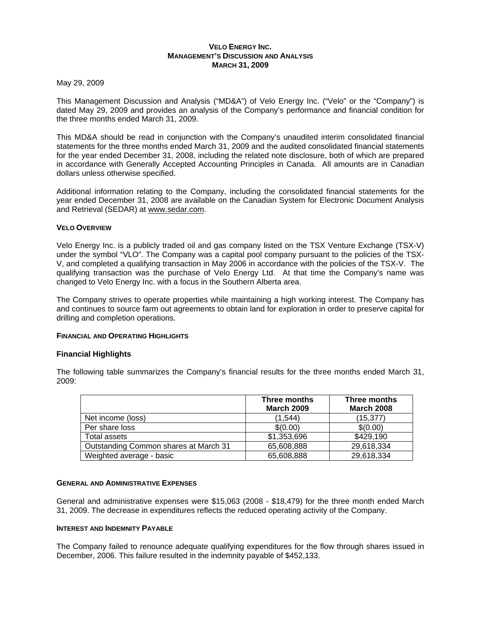## **VELO ENERGY INC. MANAGEMENT'S DISCUSSION AND ANALYSIS MARCH 31, 2009**

May 29, 2009

This Management Discussion and Analysis ("MD&A") of Velo Energy Inc. ("Velo" or the "Company") is dated May 29, 2009 and provides an analysis of the Company's performance and financial condition for the three months ended March 31, 2009.

This MD&A should be read in conjunction with the Company's unaudited interim consolidated financial statements for the three months ended March 31, 2009 and the audited consolidated financial statements for the year ended December 31, 2008, including the related note disclosure, both of which are prepared in accordance with Generally Accepted Accounting Principles in Canada. All amounts are in Canadian dollars unless otherwise specified.

Additional information relating to the Company, including the consolidated financial statements for the year ended December 31, 2008 are available on the Canadian System for Electronic Document Analysis and Retrieval (SEDAR) at www.sedar.com.

## **VELO OVERVIEW**

Velo Energy Inc. is a publicly traded oil and gas company listed on the TSX Venture Exchange (TSX-V) under the symbol "VLO". The Company was a capital pool company pursuant to the policies of the TSX-V, and completed a qualifying transaction in May 2006 in accordance with the policies of the TSX-V. The qualifying transaction was the purchase of Velo Energy Ltd. At that time the Company's name was changed to Velo Energy Inc. with a focus in the Southern Alberta area.

The Company strives to operate properties while maintaining a high working interest. The Company has and continues to source farm out agreements to obtain land for exploration in order to preserve capital for drilling and completion operations.

## **FINANCIAL AND OPERATING HIGHLIGHTS**

## **Financial Highlights**

The following table summarizes the Company's financial results for the three months ended March 31, 2009:

|                                       | Three months<br><b>March 2009</b> | Three months<br><b>March 2008</b> |
|---------------------------------------|-----------------------------------|-----------------------------------|
| Net income (loss)                     | (1.544)                           | (15, 377)                         |
| Per share loss                        | \$(0.00)                          | \$(0.00)                          |
| Total assets                          | \$1,353,696                       | \$429,190                         |
| Outstanding Common shares at March 31 | 65,608,888                        | 29,618,334                        |
| Weighted average - basic              | 65,608,888                        | 29,618,334                        |

#### **GENERAL AND ADMINISTRATIVE EXPENSES**

General and administrative expenses were \$15,063 (2008 - \$18,479) for the three month ended March 31, 2009. The decrease in expenditures reflects the reduced operating activity of the Company.

#### **INTEREST AND INDEMNITY PAYABLE**

The Company failed to renounce adequate qualifying expenditures for the flow through shares issued in December, 2006. This failure resulted in the indemnity payable of \$452,133.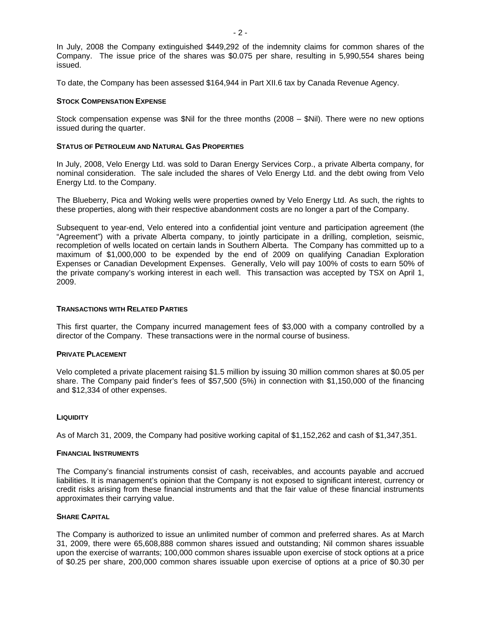In July, 2008 the Company extinguished \$449,292 of the indemnity claims for common shares of the Company. The issue price of the shares was \$0.075 per share, resulting in 5,990,554 shares being issued.

To date, the Company has been assessed \$164,944 in Part XII.6 tax by Canada Revenue Agency.

## **STOCK COMPENSATION EXPENSE**

Stock compensation expense was \$Nil for the three months (2008 – \$Nil). There were no new options issued during the quarter.

### **STATUS OF PETROLEUM AND NATURAL GAS PROPERTIES**

In July, 2008, Velo Energy Ltd. was sold to Daran Energy Services Corp., a private Alberta company, for nominal consideration. The sale included the shares of Velo Energy Ltd. and the debt owing from Velo Energy Ltd. to the Company.

The Blueberry, Pica and Woking wells were properties owned by Velo Energy Ltd. As such, the rights to these properties, along with their respective abandonment costs are no longer a part of the Company.

Subsequent to year-end, Velo entered into a confidential joint venture and participation agreement (the "Agreement") with a private Alberta company, to jointly participate in a drilling, completion, seismic, recompletion of wells located on certain lands in Southern Alberta. The Company has committed up to a maximum of \$1,000,000 to be expended by the end of 2009 on qualifying Canadian Exploration Expenses or Canadian Development Expenses. Generally, Velo will pay 100% of costs to earn 50% of the private company's working interest in each well. This transaction was accepted by TSX on April 1, 2009.

#### **TRANSACTIONS WITH RELATED PARTIES**

This first quarter, the Company incurred management fees of \$3,000 with a company controlled by a director of the Company. These transactions were in the normal course of business.

#### **PRIVATE PLACEMENT**

Velo completed a private placement raising \$1.5 million by issuing 30 million common shares at \$0.05 per share. The Company paid finder's fees of \$57,500 (5%) in connection with \$1,150,000 of the financing and \$12,334 of other expenses.

## **LIQUIDITY**

As of March 31, 2009, the Company had positive working capital of \$1,152,262 and cash of \$1,347,351.

### **FINANCIAL INSTRUMENTS**

The Company's financial instruments consist of cash, receivables, and accounts payable and accrued liabilities. It is management's opinion that the Company is not exposed to significant interest, currency or credit risks arising from these financial instruments and that the fair value of these financial instruments approximates their carrying value.

### **SHARE CAPITAL**

The Company is authorized to issue an unlimited number of common and preferred shares. As at March 31, 2009, there were 65,608,888 common shares issued and outstanding; Nil common shares issuable upon the exercise of warrants; 100,000 common shares issuable upon exercise of stock options at a price of \$0.25 per share, 200,000 common shares issuable upon exercise of options at a price of \$0.30 per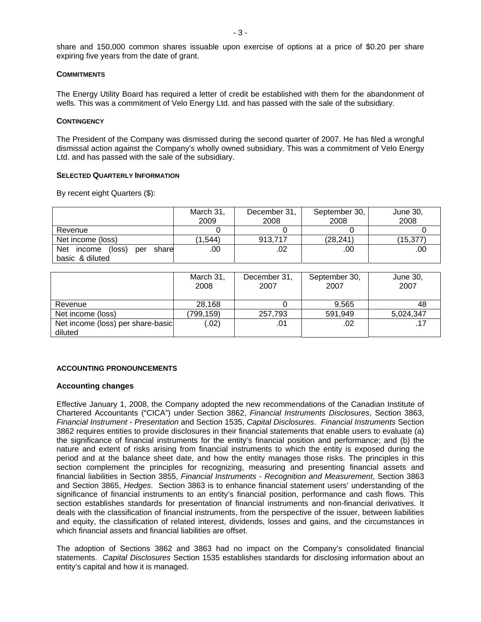share and 150,000 common shares issuable upon exercise of options at a price of \$0.20 per share expiring five years from the date of grant.

## **COMMITMENTS**

The Energy Utility Board has required a letter of credit be established with them for the abandonment of wells. This was a commitment of Velo Energy Ltd. and has passed with the sale of the subsidiary.

#### **CONTINGENCY**

The President of the Company was dismissed during the second quarter of 2007. He has filed a wrongful dismissal action against the Company's wholly owned subsidiary. This was a commitment of Velo Energy Ltd. and has passed with the sale of the subsidiary.

### **SELECTED QUARTERLY INFORMATION**

By recent eight Quarters (\$):

|                                      | March 31,<br>2009 | December 31,<br>2008 | September 30,<br>2008 | June 30,<br>2008 |
|--------------------------------------|-------------------|----------------------|-----------------------|------------------|
| Revenue                              |                   |                      |                       |                  |
| Net income (loss)                    | (1, 544)          | 913.717              | (28, 241)             | (15,377)         |
| Net income<br>(loss)<br>share<br>per | .00               | .02                  | .00                   | .00              |
| basic & diluted                      |                   |                      |                       |                  |

|                                   | March 31,<br>2008 | December 31,<br>2007 | September 30,<br>2007 | June 30,<br>2007 |
|-----------------------------------|-------------------|----------------------|-----------------------|------------------|
| Revenue                           | 28,168            |                      | 9.565                 | 48               |
| Net income (loss)                 | (799,159)         | 257,793              | 591,949               | 5,024,347        |
| Net income (loss) per share-basic | (0.02)            | .01                  | .02                   |                  |
| diluted                           |                   |                      |                       |                  |

## **ACCOUNTING PRONOUNCEMENTS**

## **Accounting changes**

Effective January 1, 2008, the Company adopted the new recommendations of the Canadian Institute of Chartered Accountants ("CICA") under Section 3862, *Financial Instruments Disclosures*, Section 3863, *Financial Instrument - Presentation* and Section 1535, *Capital Disclosures*. *Financial Instruments* Section 3862 requires entities to provide disclosures in their financial statements that enable users to evaluate (a) the significance of financial instruments for the entity's financial position and performance; and (b) the nature and extent of risks arising from financial instruments to which the entity is exposed during the period and at the balance sheet date, and how the entity manages those risks. The principles in this section complement the principles for recognizing, measuring and presenting financial assets and financial liabilities in Section 3855, *Financial Instruments - Recognition and Measurement*, Section 3863 and Section 3865, *Hedges*. Section 3863 is to enhance financial statement users' understanding of the significance of financial instruments to an entity's financial position, performance and cash flows. This section establishes standards for presentation of financial instruments and non-financial derivatives. It deals with the classification of financial instruments, from the perspective of the issuer, between liabilities and equity, the classification of related interest, dividends, losses and gains, and the circumstances in which financial assets and financial liabilities are offset.

The adoption of Sections 3862 and 3863 had no impact on the Company's consolidated financial statements. *Capital Disclosures* Section 1535 establishes standards for disclosing information about an entity's capital and how it is managed.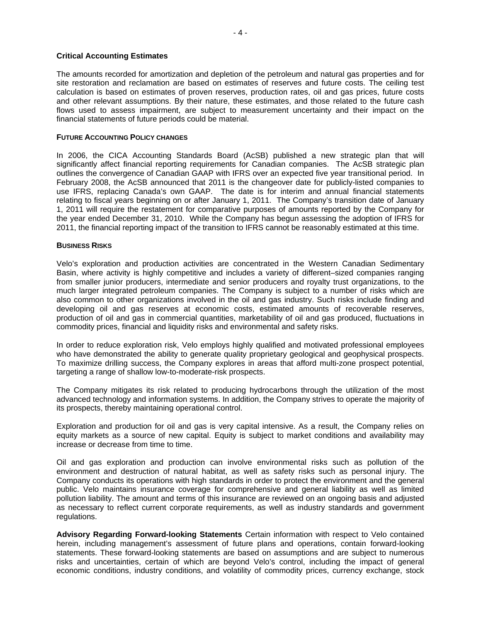### **Critical Accounting Estimates**

The amounts recorded for amortization and depletion of the petroleum and natural gas properties and for site restoration and reclamation are based on estimates of reserves and future costs. The ceiling test calculation is based on estimates of proven reserves, production rates, oil and gas prices, future costs and other relevant assumptions. By their nature, these estimates, and those related to the future cash flows used to assess impairment, are subject to measurement uncertainty and their impact on the financial statements of future periods could be material.

### **FUTURE ACCOUNTING POLICY CHANGES**

In 2006, the CICA Accounting Standards Board (AcSB) published a new strategic plan that will significantly affect financial reporting requirements for Canadian companies. The AcSB strategic plan outlines the convergence of Canadian GAAP with IFRS over an expected five year transitional period. In February 2008, the AcSB announced that 2011 is the changeover date for publicly-listed companies to use IFRS, replacing Canada's own GAAP. The date is for interim and annual financial statements relating to fiscal years beginning on or after January 1, 2011. The Company's transition date of January 1, 2011 will require the restatement for comparative purposes of amounts reported by the Company for the year ended December 31, 2010. While the Company has begun assessing the adoption of IFRS for 2011, the financial reporting impact of the transition to IFRS cannot be reasonably estimated at this time.

### **BUSINESS RISKS**

Velo's exploration and production activities are concentrated in the Western Canadian Sedimentary Basin, where activity is highly competitive and includes a variety of different–sized companies ranging from smaller junior producers, intermediate and senior producers and royalty trust organizations, to the much larger integrated petroleum companies. The Company is subject to a number of risks which are also common to other organizations involved in the oil and gas industry. Such risks include finding and developing oil and gas reserves at economic costs, estimated amounts of recoverable reserves, production of oil and gas in commercial quantities, marketability of oil and gas produced, fluctuations in commodity prices, financial and liquidity risks and environmental and safety risks.

In order to reduce exploration risk, Velo employs highly qualified and motivated professional employees who have demonstrated the ability to generate quality proprietary geological and geophysical prospects. To maximize drilling success, the Company explores in areas that afford multi-zone prospect potential, targeting a range of shallow low-to-moderate-risk prospects.

The Company mitigates its risk related to producing hydrocarbons through the utilization of the most advanced technology and information systems. In addition, the Company strives to operate the majority of its prospects, thereby maintaining operational control.

Exploration and production for oil and gas is very capital intensive. As a result, the Company relies on equity markets as a source of new capital. Equity is subject to market conditions and availability may increase or decrease from time to time.

Oil and gas exploration and production can involve environmental risks such as pollution of the environment and destruction of natural habitat, as well as safety risks such as personal injury. The Company conducts its operations with high standards in order to protect the environment and the general public. Velo maintains insurance coverage for comprehensive and general liability as well as limited pollution liability. The amount and terms of this insurance are reviewed on an ongoing basis and adjusted as necessary to reflect current corporate requirements, as well as industry standards and government regulations.

**Advisory Regarding Forward-looking Statements** Certain information with respect to Velo contained herein, including management's assessment of future plans and operations, contain forward-looking statements. These forward-looking statements are based on assumptions and are subject to numerous risks and uncertainties, certain of which are beyond Velo's control, including the impact of general economic conditions, industry conditions, and volatility of commodity prices, currency exchange, stock